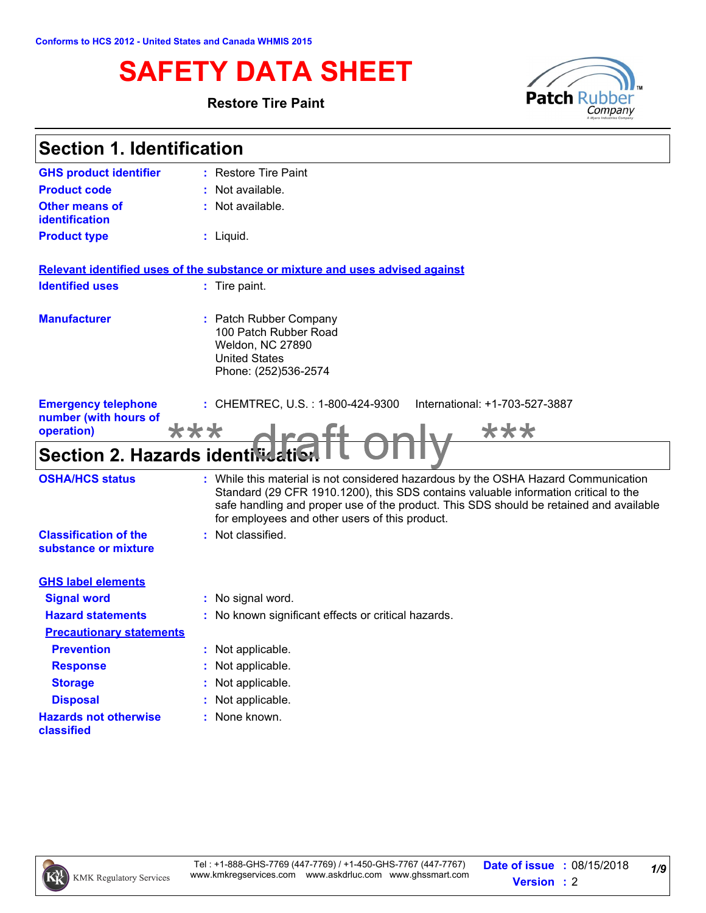# **SAFETY DATA SHEET**<br>Restore Tire Paint **Patch Rubber**

#### **Restore Tire Paint**



| <b>Section 1. Identification</b>                                  |                                                                                                                                                                                                                                                                                                                       |
|-------------------------------------------------------------------|-----------------------------------------------------------------------------------------------------------------------------------------------------------------------------------------------------------------------------------------------------------------------------------------------------------------------|
| <b>GHS product identifier</b>                                     | : Restore Tire Paint                                                                                                                                                                                                                                                                                                  |
| <b>Product code</b>                                               | : Not available.                                                                                                                                                                                                                                                                                                      |
| <b>Other means of</b><br>identification                           | : Not available.                                                                                                                                                                                                                                                                                                      |
| <b>Product type</b>                                               | $:$ Liquid.                                                                                                                                                                                                                                                                                                           |
|                                                                   | Relevant identified uses of the substance or mixture and uses advised against                                                                                                                                                                                                                                         |
| <b>Identified uses</b>                                            | : Tire paint.                                                                                                                                                                                                                                                                                                         |
| <b>Manufacturer</b>                                               | : Patch Rubber Company<br>100 Patch Rubber Road<br>Weldon, NC 27890<br><b>United States</b><br>Phone: (252)536-2574                                                                                                                                                                                                   |
| <b>Emergency telephone</b><br>number (with hours of<br>operation) | : CHEMTREC, U.S. : 1-800-424-9300<br>International: +1-703-527-3887<br>***<br>***                                                                                                                                                                                                                                     |
| Section 2. Hazards identifiedti                                   |                                                                                                                                                                                                                                                                                                                       |
| <b>OSHA/HCS status</b>                                            | : While this material is not considered hazardous by the OSHA Hazard Communication<br>Standard (29 CFR 1910.1200), this SDS contains valuable information critical to the<br>safe handling and proper use of the product. This SDS should be retained and available<br>for employees and other users of this product. |
| <b>Classification of the</b><br>substance or mixture              | : Not classified.                                                                                                                                                                                                                                                                                                     |
| <b>GHS label elements</b>                                         |                                                                                                                                                                                                                                                                                                                       |
| <b>Signal word</b>                                                | : No signal word.                                                                                                                                                                                                                                                                                                     |
| <b>Hazard statements</b>                                          | : No known significant effects or critical hazards.                                                                                                                                                                                                                                                                   |
| <b>Precautionary statements</b>                                   |                                                                                                                                                                                                                                                                                                                       |
| <b>Prevention</b>                                                 | : Not applicable.                                                                                                                                                                                                                                                                                                     |
| <b>Response</b>                                                   | : Not applicable.                                                                                                                                                                                                                                                                                                     |
| <b>Storage</b>                                                    | : Not applicable.                                                                                                                                                                                                                                                                                                     |
| <b>Disposal</b>                                                   | : Not applicable.                                                                                                                                                                                                                                                                                                     |
| <b>Hazards not otherwise</b><br>classified                        | : None known.                                                                                                                                                                                                                                                                                                         |

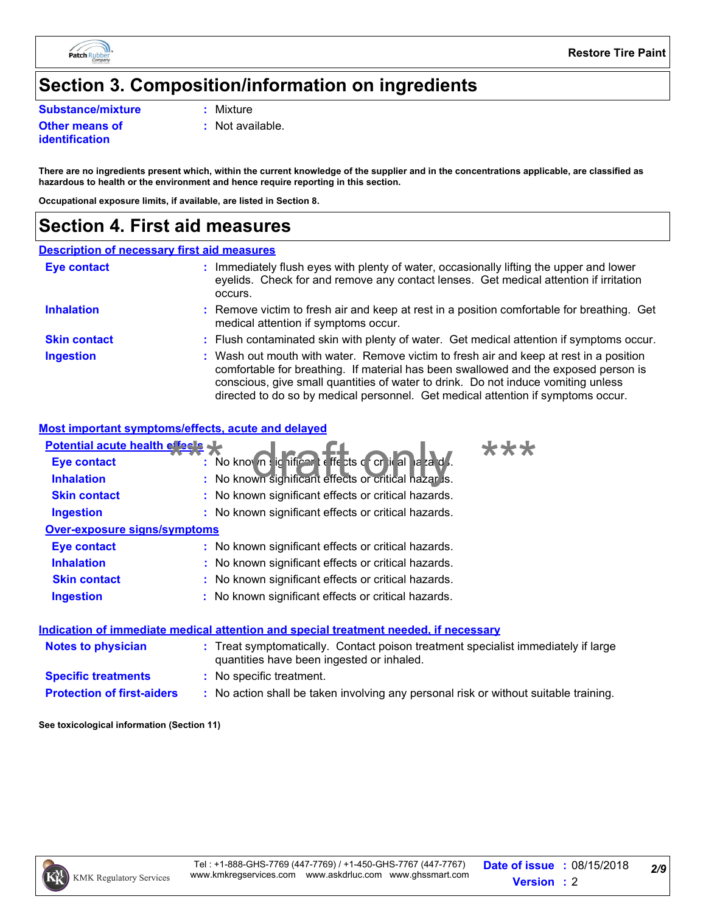

# **Section 3. Composition/information on ingredients**

**Substance/mixture :** Mixture

#### **Other means of identification**

**:** Not available.

**There are no ingredients present which, within the current knowledge of the supplier and in the concentrations applicable, are classified as hazardous to health or the environment and hence require reporting in this section.**

**Occupational exposure limits, if available, are listed in Section 8.**

### **Section 4. First aid measures**

#### **Description of necessary first aid measures**

| <b>Eye contact</b>  | : Immediately flush eyes with plenty of water, occasionally lifting the upper and lower<br>eyelids. Check for and remove any contact lenses. Get medical attention if irritation<br>occurs.                                                                                                                                                            |
|---------------------|--------------------------------------------------------------------------------------------------------------------------------------------------------------------------------------------------------------------------------------------------------------------------------------------------------------------------------------------------------|
| <b>Inhalation</b>   | : Remove victim to fresh air and keep at rest in a position comfortable for breathing. Get<br>medical attention if symptoms occur.                                                                                                                                                                                                                     |
| <b>Skin contact</b> | : Flush contaminated skin with plenty of water. Get medical attention if symptoms occur.                                                                                                                                                                                                                                                               |
| <b>Ingestion</b>    | : Wash out mouth with water. Remove victim to fresh air and keep at rest in a position<br>comfortable for breathing. If material has been swallowed and the exposed person is<br>conscious, give small quantities of water to drink. Do not induce vomiting unless<br>directed to do so by medical personnel. Get medical attention if symptoms occur. |

#### **Most important symptoms/effects, acute and delayed**

| Potential acute health effects      |                                                                                                                                |  |  |  |
|-------------------------------------|--------------------------------------------------------------------------------------------------------------------------------|--|--|--|
| <b>Eye contact</b>                  | : No known significar: effects of critical laza d.                                                                             |  |  |  |
| <b>Inhalation</b>                   | : No known significant effects or critical nazar is.                                                                           |  |  |  |
| <b>Skin contact</b>                 | : No known significant effects or critical hazards.                                                                            |  |  |  |
| Ingestion                           | : No known significant effects or critical hazards.                                                                            |  |  |  |
| <b>Over-exposure signs/symptoms</b> |                                                                                                                                |  |  |  |
| <b>Eye contact</b>                  | : No known significant effects or critical hazards.                                                                            |  |  |  |
| <b>Inhalation</b>                   | : No known significant effects or critical hazards.                                                                            |  |  |  |
| <b>Skin contact</b>                 | : No known significant effects or critical hazards.                                                                            |  |  |  |
| <b>Ingestion</b>                    | : No known significant effects or critical hazards.                                                                            |  |  |  |
|                                     | Indication of immediate medical attention and special treatment needed, if necessary                                           |  |  |  |
| Notes to physician                  | : Treat symptomatically. Contact poison treatment specialist immediately if large<br>quantities have been ingested or inhaled. |  |  |  |
| <b>Specific treatments</b>          | : No specific treatment.                                                                                                       |  |  |  |
| <b>Protection of first-aiders</b>   | : No action shall be taken involving any personal risk or without suitable training.                                           |  |  |  |
|                                     |                                                                                                                                |  |  |  |

**See toxicological information (Section 11)**

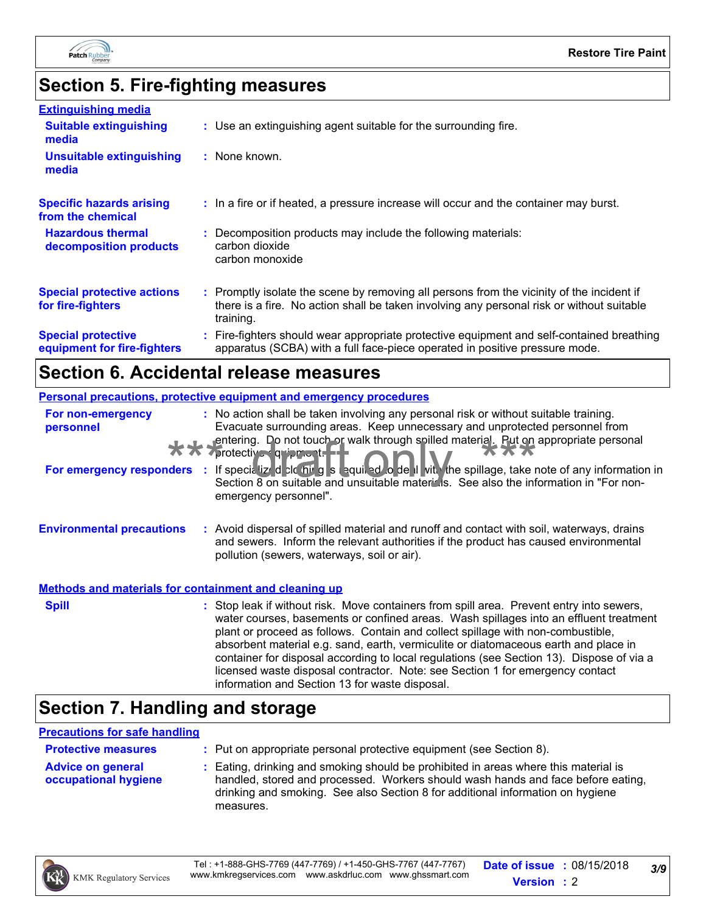

# **Section 5. Fire-fighting measures**

| <b>Extinguishing media</b><br><b>Suitable extinguishing</b><br>media | : Use an extinguishing agent suitable for the surrounding fire.                                                                                                                                     |
|----------------------------------------------------------------------|-----------------------------------------------------------------------------------------------------------------------------------------------------------------------------------------------------|
| <b>Unsuitable extinguishing</b><br>media                             | : None known.                                                                                                                                                                                       |
| <b>Specific hazards arising</b><br>from the chemical                 | : In a fire or if heated, a pressure increase will occur and the container may burst.                                                                                                               |
| <b>Hazardous thermal</b><br>decomposition products                   | : Decomposition products may include the following materials:<br>carbon dioxide<br>carbon monoxide                                                                                                  |
| <b>Special protective actions</b><br>for fire-fighters               | : Promptly isolate the scene by removing all persons from the vicinity of the incident if<br>there is a fire. No action shall be taken involving any personal risk or without suitable<br>training. |
| <b>Special protective</b><br>equipment for fire-fighters             | : Fire-fighters should wear appropriate protective equipment and self-contained breathing<br>apparatus (SCBA) with a full face-piece operated in positive pressure mode.                            |

### **Section 6. Accidental release measures**

|                                                              | Personal precautions, protective equipment and emergency procedures                                                                                                                                                                                                                                                                                                                                                                                                                                                                                                                        |
|--------------------------------------------------------------|--------------------------------------------------------------------------------------------------------------------------------------------------------------------------------------------------------------------------------------------------------------------------------------------------------------------------------------------------------------------------------------------------------------------------------------------------------------------------------------------------------------------------------------------------------------------------------------------|
| For non-emergency<br>personnel                               | : No action shall be taken involving any personal risk or without suitable training.<br>Evacuate surrounding areas. Keep unnecessary and unprotected personnel from<br>entering. Do not touch or walk through spilled material. Put on appropriate personal<br>vprotective quipment.                                                                                                                                                                                                                                                                                                       |
|                                                              | For emergency responders : If specialized claims a stepple of the spill vit. The spillage, take note of any information in<br>Section 8 on suitable and unsuitable matericis. See also the information in "For non-<br>emergency personnel".                                                                                                                                                                                                                                                                                                                                               |
| <b>Environmental precautions</b>                             | : Avoid dispersal of spilled material and runoff and contact with soil, waterways, drains<br>and sewers. Inform the relevant authorities if the product has caused environmental<br>pollution (sewers, waterways, soil or air).                                                                                                                                                                                                                                                                                                                                                            |
| <b>Methods and materials for containment and cleaning up</b> |                                                                                                                                                                                                                                                                                                                                                                                                                                                                                                                                                                                            |
| <b>Spill</b>                                                 | : Stop leak if without risk. Move containers from spill area. Prevent entry into sewers,<br>water courses, basements or confined areas. Wash spillages into an effluent treatment<br>plant or proceed as follows. Contain and collect spillage with non-combustible,<br>absorbent material e.g. sand, earth, vermiculite or diatomaceous earth and place in<br>container for disposal according to local regulations (see Section 13). Dispose of via a<br>licensed waste disposal contractor. Note: see Section 1 for emergency contact<br>information and Section 13 for waste disposal. |

# **Section 7. Handling and storage**

#### **Precautions for safe handling**

| <b>Protective measures</b>                       | : Put on appropriate personal protective equipment (see Section 8).                                                                                                                                                                                                    |
|--------------------------------------------------|------------------------------------------------------------------------------------------------------------------------------------------------------------------------------------------------------------------------------------------------------------------------|
| <b>Advice on general</b><br>occupational hygiene | : Eating, drinking and smoking should be prohibited in areas where this material is<br>handled, stored and processed. Workers should wash hands and face before eating,<br>drinking and smoking. See also Section 8 for additional information on hygiene<br>measures. |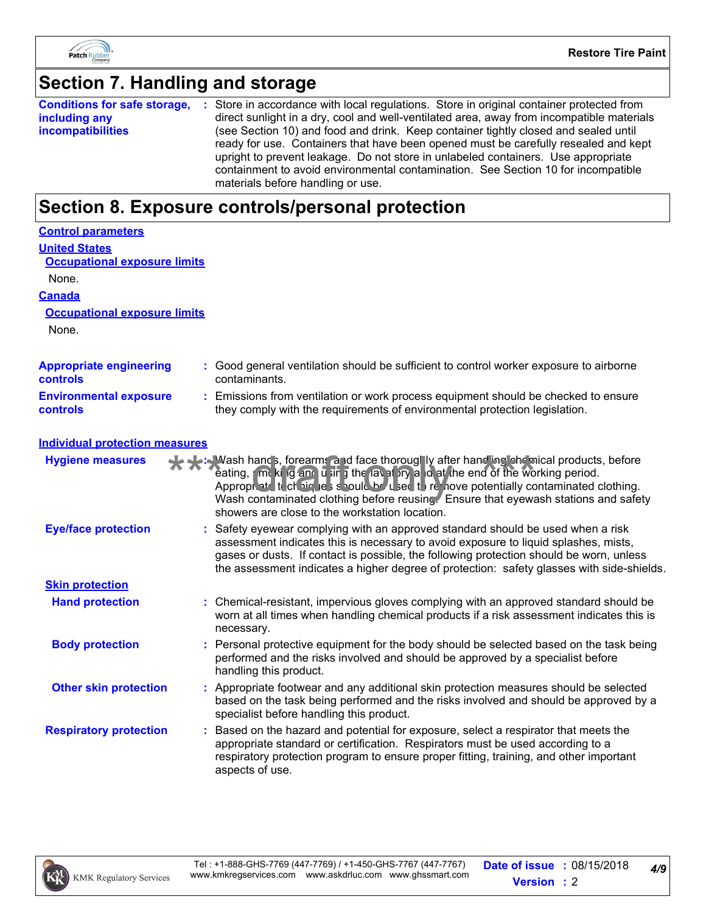

# **Section 7. Handling and storage**

|                          | <b>Conditions for safe storage, :</b> Store in accordance with local regulations. Store in original container protected from |
|--------------------------|------------------------------------------------------------------------------------------------------------------------------|
| including any            | direct sunlight in a dry, cool and well-ventilated area, away from incompatible materials                                    |
| <i>incompatibilities</i> | (see Section 10) and food and drink. Keep container tightly closed and sealed until                                          |
|                          | ready for use. Containers that have been opened must be carefully resealed and kept                                          |
|                          | upright to prevent leakage. Do not store in unlabeled containers. Use appropriate                                            |
|                          | containment to avoid environmental contamination. See Section 10 for incompatible                                            |
|                          | materials before handling or use.                                                                                            |

# **Section 8. Exposure controls/personal protection**

| <b>Control parameters</b>                         |                                                                                                                                                                                                                                                                                                                                                                                                    |
|---------------------------------------------------|----------------------------------------------------------------------------------------------------------------------------------------------------------------------------------------------------------------------------------------------------------------------------------------------------------------------------------------------------------------------------------------------------|
| <b>United States</b>                              |                                                                                                                                                                                                                                                                                                                                                                                                    |
| <b>Occupational exposure limits</b>               |                                                                                                                                                                                                                                                                                                                                                                                                    |
| None.                                             |                                                                                                                                                                                                                                                                                                                                                                                                    |
| <b>Canada</b>                                     |                                                                                                                                                                                                                                                                                                                                                                                                    |
| <b>Occupational exposure limits</b>               |                                                                                                                                                                                                                                                                                                                                                                                                    |
| None.                                             |                                                                                                                                                                                                                                                                                                                                                                                                    |
| <b>Appropriate engineering</b><br><b>controls</b> | : Good general ventilation should be sufficient to control worker exposure to airborne<br>contaminants.                                                                                                                                                                                                                                                                                            |
| <b>Environmental exposure</b><br><b>controls</b>  | Emissions from ventilation or work process equipment should be checked to ensure<br>they comply with the requirements of environmental protection legislation.                                                                                                                                                                                                                                     |
| <b>Individual protection measures</b>             |                                                                                                                                                                                                                                                                                                                                                                                                    |
| <b>Hygiene measures</b>                           | Wash hands, forearms and face thoroughly after handing chemical products, before<br>eating, and king and using the layst ity and at the end of the working period.<br>Appropriate to chaighest should be used to remove potentially contaminated clothing.<br>Wash contaminated clothing before reusing. Ensure that eyewash stations and safety<br>showers are close to the workstation location. |
| <b>Eye/face protection</b>                        | Safety eyewear complying with an approved standard should be used when a risk<br>assessment indicates this is necessary to avoid exposure to liquid splashes, mists,<br>gases or dusts. If contact is possible, the following protection should be worn, unless<br>the assessment indicates a higher degree of protection: safety glasses with side-shields.                                       |
| <b>Skin protection</b>                            |                                                                                                                                                                                                                                                                                                                                                                                                    |
| <b>Hand protection</b>                            | Chemical-resistant, impervious gloves complying with an approved standard should be<br>worn at all times when handling chemical products if a risk assessment indicates this is<br>necessary.                                                                                                                                                                                                      |
| <b>Body protection</b>                            | Personal protective equipment for the body should be selected based on the task being<br>performed and the risks involved and should be approved by a specialist before<br>handling this product.                                                                                                                                                                                                  |
| <b>Other skin protection</b>                      | Appropriate footwear and any additional skin protection measures should be selected<br>based on the task being performed and the risks involved and should be approved by a<br>specialist before handling this product.                                                                                                                                                                            |
| <b>Respiratory protection</b>                     | Based on the hazard and potential for exposure, select a respirator that meets the<br>appropriate standard or certification. Respirators must be used according to a<br>respiratory protection program to ensure proper fitting, training, and other important<br>aspects of use.                                                                                                                  |

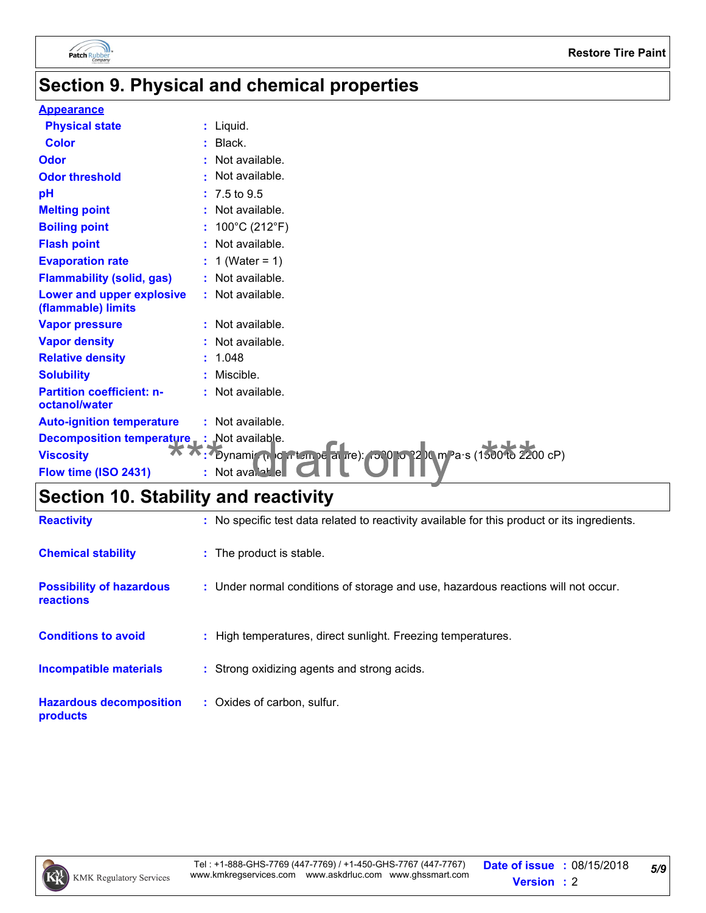

# **Section 9. Physical and chemical properties**

#### **Appearance**

| <b>Color</b><br>: Black.<br>: Not available.<br>: Not available.<br>$: 7.5 \text{ to } 9.5$<br>: Not available.<br><b>Melting point</b><br>: $100^{\circ}$ C (212 $^{\circ}$ F)<br><b>Boiling point</b><br>: Not available.<br>: $1$ (Water = 1)<br><b>Evaporation rate</b><br>: Not available.<br>Lower and upper explosive<br>: Not available.<br>(flammable) limits<br>: Not available.<br><b>Vapor pressure</b><br>: Not available.<br><b>Relative density</b><br>: 1.048<br><b>Solubility</b><br>: Miscible.<br><b>Partition coefficient: n-</b><br>: Not available.<br>: Not available.<br><b>Decomposition temperature</b> : Not available.<br>Dynami (n. o. nt. m)e al ire): (500 lo. 12 km Pa·s (1500 lo. 2200 cP)<br><b>Viscosity</b><br>Flow time (ISO 2431)<br>: Not available | <b>Physical state</b>            | : Liquid. |
|--------------------------------------------------------------------------------------------------------------------------------------------------------------------------------------------------------------------------------------------------------------------------------------------------------------------------------------------------------------------------------------------------------------------------------------------------------------------------------------------------------------------------------------------------------------------------------------------------------------------------------------------------------------------------------------------------------------------------------------------------------------------------------------------|----------------------------------|-----------|
|                                                                                                                                                                                                                                                                                                                                                                                                                                                                                                                                                                                                                                                                                                                                                                                            |                                  |           |
|                                                                                                                                                                                                                                                                                                                                                                                                                                                                                                                                                                                                                                                                                                                                                                                            | <b>Odor</b>                      |           |
|                                                                                                                                                                                                                                                                                                                                                                                                                                                                                                                                                                                                                                                                                                                                                                                            | <b>Odor threshold</b>            |           |
|                                                                                                                                                                                                                                                                                                                                                                                                                                                                                                                                                                                                                                                                                                                                                                                            | pH                               |           |
|                                                                                                                                                                                                                                                                                                                                                                                                                                                                                                                                                                                                                                                                                                                                                                                            |                                  |           |
|                                                                                                                                                                                                                                                                                                                                                                                                                                                                                                                                                                                                                                                                                                                                                                                            |                                  |           |
|                                                                                                                                                                                                                                                                                                                                                                                                                                                                                                                                                                                                                                                                                                                                                                                            | <b>Flash point</b>               |           |
|                                                                                                                                                                                                                                                                                                                                                                                                                                                                                                                                                                                                                                                                                                                                                                                            |                                  |           |
|                                                                                                                                                                                                                                                                                                                                                                                                                                                                                                                                                                                                                                                                                                                                                                                            | <b>Flammability (solid, gas)</b> |           |
|                                                                                                                                                                                                                                                                                                                                                                                                                                                                                                                                                                                                                                                                                                                                                                                            |                                  |           |
|                                                                                                                                                                                                                                                                                                                                                                                                                                                                                                                                                                                                                                                                                                                                                                                            |                                  |           |
|                                                                                                                                                                                                                                                                                                                                                                                                                                                                                                                                                                                                                                                                                                                                                                                            | <b>Vapor density</b>             |           |
|                                                                                                                                                                                                                                                                                                                                                                                                                                                                                                                                                                                                                                                                                                                                                                                            |                                  |           |
|                                                                                                                                                                                                                                                                                                                                                                                                                                                                                                                                                                                                                                                                                                                                                                                            |                                  |           |
|                                                                                                                                                                                                                                                                                                                                                                                                                                                                                                                                                                                                                                                                                                                                                                                            | octanol/water                    |           |
|                                                                                                                                                                                                                                                                                                                                                                                                                                                                                                                                                                                                                                                                                                                                                                                            | <b>Auto-ignition temperature</b> |           |
|                                                                                                                                                                                                                                                                                                                                                                                                                                                                                                                                                                                                                                                                                                                                                                                            |                                  |           |
|                                                                                                                                                                                                                                                                                                                                                                                                                                                                                                                                                                                                                                                                                                                                                                                            |                                  |           |
|                                                                                                                                                                                                                                                                                                                                                                                                                                                                                                                                                                                                                                                                                                                                                                                            |                                  |           |

# **Section 10. Stability and reactivity**

| <b>Reactivity</b>                            | : No specific test data related to reactivity available for this product or its ingredients. |
|----------------------------------------------|----------------------------------------------------------------------------------------------|
| <b>Chemical stability</b>                    | : The product is stable.                                                                     |
| <b>Possibility of hazardous</b><br>reactions | : Under normal conditions of storage and use, hazardous reactions will not occur.            |
| <b>Conditions to avoid</b>                   | : High temperatures, direct sunlight. Freezing temperatures.                                 |
| <b>Incompatible materials</b>                | : Strong oxidizing agents and strong acids.                                                  |
| <b>Hazardous decomposition</b><br>products   | : Oxides of carbon, sulfur.                                                                  |

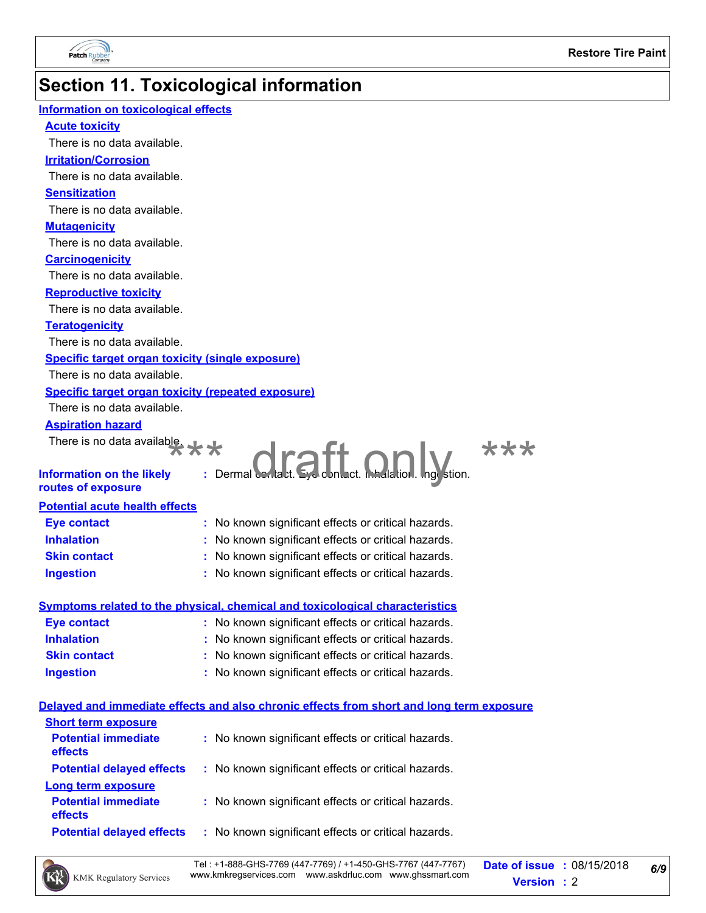

# **Section 11. Toxicological information**

| Information on toxicological effects                      |                                                                                          |  |
|-----------------------------------------------------------|------------------------------------------------------------------------------------------|--|
| <b>Acute toxicity</b>                                     |                                                                                          |  |
| There is no data available.                               |                                                                                          |  |
| <b>Irritation/Corrosion</b>                               |                                                                                          |  |
| There is no data available.                               |                                                                                          |  |
| <b>Sensitization</b>                                      |                                                                                          |  |
| There is no data available.                               |                                                                                          |  |
| <b>Mutagenicity</b>                                       |                                                                                          |  |
| There is no data available.                               |                                                                                          |  |
| <b>Carcinogenicity</b>                                    |                                                                                          |  |
| There is no data available.                               |                                                                                          |  |
| <b>Reproductive toxicity</b>                              |                                                                                          |  |
| There is no data available.                               |                                                                                          |  |
| <b>Teratogenicity</b>                                     |                                                                                          |  |
| There is no data available.                               |                                                                                          |  |
| <b>Specific target organ toxicity (single exposure)</b>   |                                                                                          |  |
| There is no data available.                               |                                                                                          |  |
| <b>Specific target organ toxicity (repeated exposure)</b> |                                                                                          |  |
| There is no data available.                               |                                                                                          |  |
| <b>Aspiration hazard</b>                                  |                                                                                          |  |
|                                                           | ***                                                                                      |  |
|                                                           |                                                                                          |  |
| <b>Information on the likely</b><br>routes of exposure    |                                                                                          |  |
| <b>Potential acute health effects</b>                     |                                                                                          |  |
| <b>Eye contact</b>                                        | : No known significant effects or critical hazards.                                      |  |
| <b>Inhalation</b>                                         | : No known significant effects or critical hazards.                                      |  |
| <b>Skin contact</b>                                       | : No known significant effects or critical hazards.                                      |  |
| <b>Ingestion</b>                                          | : No known significant effects or critical hazards.                                      |  |
|                                                           |                                                                                          |  |
|                                                           | <b>Symptoms related to the physical, chemical and toxicological characteristics</b>      |  |
| <b>Eye contact</b>                                        | : No known significant effects or critical hazards.                                      |  |
| <b>Inhalation</b>                                         | : No known significant effects or critical hazards.                                      |  |
| <b>Skin contact</b>                                       | : No known significant effects or critical hazards.                                      |  |
| <b>Ingestion</b>                                          | : No known significant effects or critical hazards.                                      |  |
|                                                           | Delayed and immediate effects and also chronic effects from short and long term exposure |  |
| <b>Short term exposure</b>                                |                                                                                          |  |
| <b>Potential immediate</b><br>effects                     | : No known significant effects or critical hazards.                                      |  |
| <b>Potential delayed effects</b>                          | : No known significant effects or critical hazards.                                      |  |
| <b>Long term exposure</b>                                 |                                                                                          |  |
| <b>Potential immediate</b><br>effects                     | : No known significant effects or critical hazards.                                      |  |
| <b>Potential delayed effects</b>                          | : No known significant effects or critical hazards.                                      |  |

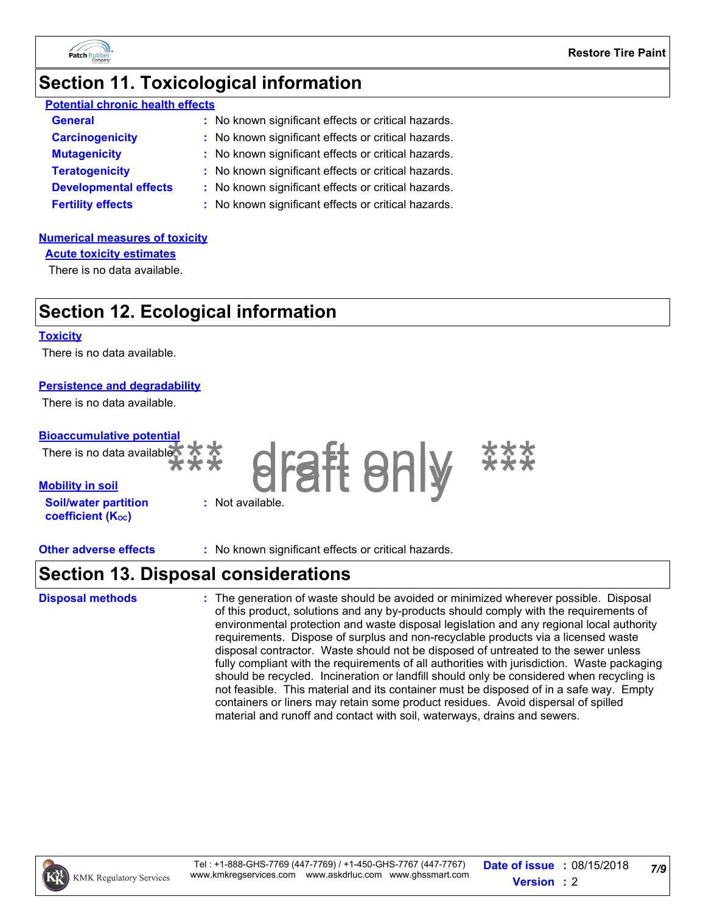

### **Section 11. Toxicological information**

| <b>Potential chronic health effects</b> |                                                     |  |  |  |
|-----------------------------------------|-----------------------------------------------------|--|--|--|
| <b>General</b>                          | : No known significant effects or critical hazards. |  |  |  |
| <b>Carcinogenicity</b>                  | : No known significant effects or critical hazards. |  |  |  |
| <b>Mutagenicity</b>                     | : No known significant effects or critical hazards. |  |  |  |
| <b>Teratogenicity</b>                   | : No known significant effects or critical hazards. |  |  |  |
| <b>Developmental effects</b>            | : No known significant effects or critical hazards. |  |  |  |
| <b>Fertility effects</b>                | : No known significant effects or critical hazards. |  |  |  |

#### **Numerical measures of toxicity**

**Acute toxicity estimates**

There is no data available.

# **Section 12. Ecological information**

#### **Toxicity**

There is no data available.

#### **Persistence and degradability**

There is no data available.

#### **Bioaccumulative potential**

| There is no data available $\overrightarrow{X}$ |       |
|-------------------------------------------------|-------|
| <b>Mobility in soil</b>                         |       |
| <b>Soil/water partition</b>                     | : Not |



available.

**Other adverse effects :** No known significant effects or critical hazards.

**coefficient (KOC)**

### **Section 13. Disposal considerations**

#### **Disposal methods :**

The generation of waste should be avoided or minimized wherever possible. Disposal of this product, solutions and any by-products should comply with the requirements of environmental protection and waste disposal legislation and any regional local authority requirements. Dispose of surplus and non-recyclable products via a licensed waste disposal contractor. Waste should not be disposed of untreated to the sewer unless fully compliant with the requirements of all authorities with jurisdiction. Waste packaging should be recycled. Incineration or landfill should only be considered when recycling is not feasible. This material and its container must be disposed of in a safe way. Empty containers or liners may retain some product residues. Avoid dispersal of spilled material and runoff and contact with soil, waterways, drains and sewers.

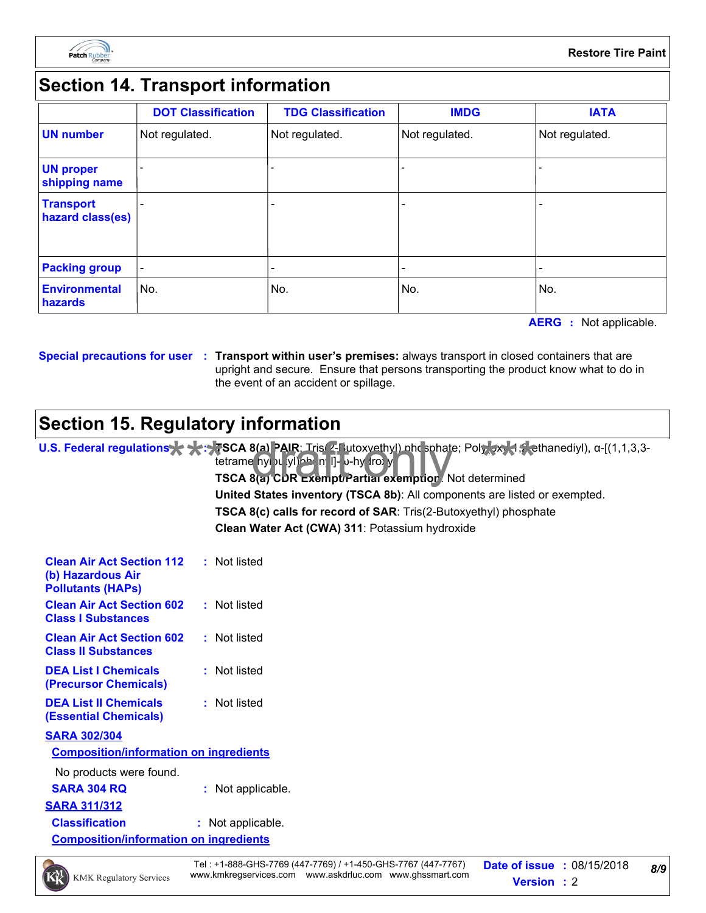

## **Section 14. Transport information**

|                                      | <b>DOT Classification</b> | <b>TDG Classification</b> | <b>IMDG</b>    | <b>IATA</b>    |
|--------------------------------------|---------------------------|---------------------------|----------------|----------------|
| <b>UN number</b>                     | Not regulated.            | Not regulated.            | Not regulated. | Not regulated. |
| <b>UN proper</b><br>shipping name    |                           |                           |                |                |
| <b>Transport</b><br>hazard class(es) |                           |                           |                |                |
| <b>Packing group</b>                 |                           |                           |                |                |
| <b>Environmental</b><br>hazards      | No.                       | No.                       | No.            | No.            |

**AERG :** Not applicable.

**Special precautions for user Transport within user's premises:** always transport in closed containers that are **:** upright and secure. Ensure that persons transporting the product know what to do in the event of an accident or spillage.

## **Section 15. Regulatory information**

**U.S. Federal regulations**  $\blacktriangleright$  **+**  $\blacktriangleright$  **SCA 8(a) PAIR:** Tris(2-Butoxyethyl) phosphate; Poly(xxy-1,2-ethanediyl), α-[(1,1,3,3-<br>tetrame hyl vl yl)phon n I]- v-hy (ro) y<br>**TSCA 8(a) CDR ExemptoPartial exemption**. Not dete **Clean Water Act (CWA) 311**: Potassium hydroxide tetrame nyl <sub>2</sub>u (yl) phenyll]- <sub>υ-hy</sub> (roxy-**TSCA 8(a) CDR Exempt/Partial exemption**: Not determined **TSCA 8(c) calls for record of SAR**: Tris(2-Butoxyethyl) phosphate **United States inventory (TSCA 8b)**: All components are listed or exempted.

| <b>Clean Air Act Section 112</b><br>(b) Hazardous Air<br><b>Pollutants (HAPs)</b> | : Not listed |
|-----------------------------------------------------------------------------------|--------------|
| <b>Clean Air Act Section 602</b><br><b>Class I Substances</b>                     | : Not listed |
| <b>Clean Air Act Section 602</b><br><b>Class II Substances</b>                    | : Not listed |
| <b>DEA List   Chemicals</b><br>(Precursor Chemicals)                              | : Not listed |
| <b>DEA List II Chemicals</b><br>(Essential Chemicals)                             | : Not listed |
| <b>SARA 302/304</b>                                                               |              |
| <b>Composition/information on ingredients</b>                                     |              |
| No products were found.                                                           |              |

**SARA 304 RQ :** Not applicable.

**SARA 311/312**

**Classification :** Not applicable.

**Composition/information on ingredients**